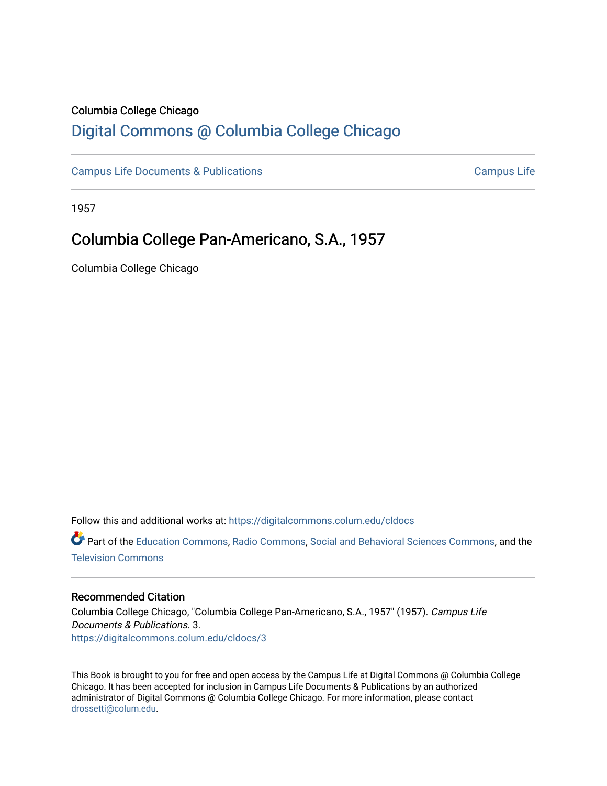## Columbia College Chicago

## [Digital Commons @ Columbia College Chicago](https://digitalcommons.colum.edu/)

[Campus Life Documents & Publications](https://digitalcommons.colum.edu/cldocs) [Campus Life](https://digitalcommons.colum.edu/campuslife) Campus Life

1957

## Columbia College Pan-Americano, S.A., 1957

Columbia College Chicago

Follow this and additional works at: [https://digitalcommons.colum.edu/cldocs](https://digitalcommons.colum.edu/cldocs?utm_source=digitalcommons.colum.edu%2Fcldocs%2F3&utm_medium=PDF&utm_campaign=PDFCoverPages)

Part of the [Education Commons](http://network.bepress.com/hgg/discipline/784?utm_source=digitalcommons.colum.edu%2Fcldocs%2F3&utm_medium=PDF&utm_campaign=PDFCoverPages), [Radio Commons,](http://network.bepress.com/hgg/discipline/1144?utm_source=digitalcommons.colum.edu%2Fcldocs%2F3&utm_medium=PDF&utm_campaign=PDFCoverPages) [Social and Behavioral Sciences Commons](http://network.bepress.com/hgg/discipline/316?utm_source=digitalcommons.colum.edu%2Fcldocs%2F3&utm_medium=PDF&utm_campaign=PDFCoverPages), and the [Television Commons](http://network.bepress.com/hgg/discipline/1143?utm_source=digitalcommons.colum.edu%2Fcldocs%2F3&utm_medium=PDF&utm_campaign=PDFCoverPages)

### Recommended Citation

Columbia College Chicago, "Columbia College Pan-Americano, S.A., 1957" (1957). Campus Life Documents & Publications. 3. [https://digitalcommons.colum.edu/cldocs/3](https://digitalcommons.colum.edu/cldocs/3?utm_source=digitalcommons.colum.edu%2Fcldocs%2F3&utm_medium=PDF&utm_campaign=PDFCoverPages) 

This Book is brought to you for free and open access by the Campus Life at Digital Commons @ Columbia College Chicago. It has been accepted for inclusion in Campus Life Documents & Publications by an authorized administrator of Digital Commons @ Columbia College Chicago. For more information, please contact [drossetti@colum.edu](mailto:drossetti@colum.edu).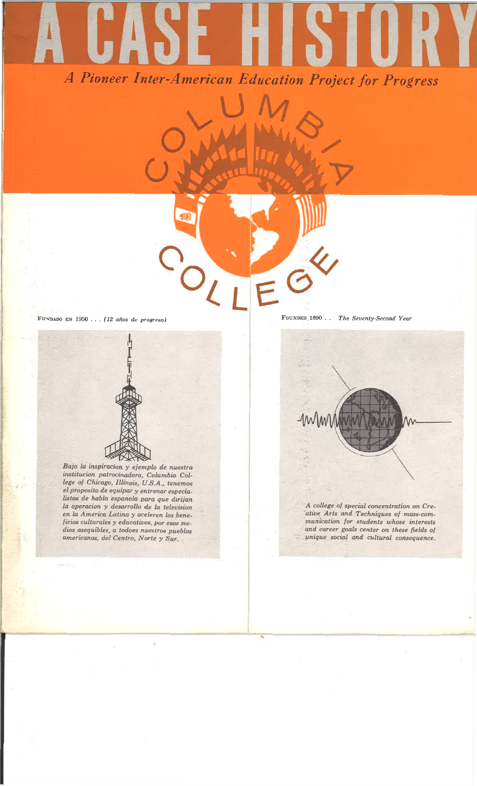A Pioneer Inter-American Education Project for Progress

FUNDADO EN 1950 ... (12 años de progreso)

Bajo la inspiracion y ejemplo de nuestra institucion patrocinadora, Columbia College of Chicago, Illinois, U.S.A., tenemos el proposito de equipar y entrenar especialistas de habla espanola para que dirijan la operacion y desarrollo de la television en la America Latina y aceleren los beneficios culturales y educativos, por esos medios asequibles, a todoes nuestros pueblos americanos, del Centro, Norte y Sur.

FOUNDED 1890 . . . The Seventy-Second Year



A college of special concentration on Creative Arts and Techniques of mass-communication for students whose interests and career goals center on these fields of unique social and cultural consequence.

71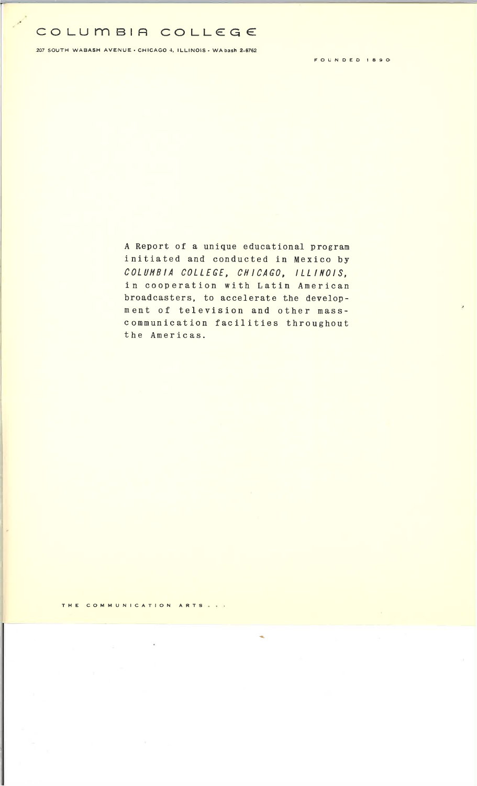# **COLUmBIA COLLEGE:**

207 SOUTH WABASH AVENUE · CHICAGO 4, ILLINOIS · WA bash 2-6762

FOUNDED 1890

<sup>A</sup>Report of a unique educational program initiated and conducted in Mexico by COLUMBIA COLLEGE, CHICAGO, ILLINOIS, in cooperation with Latin American broadcasters, to accelerate the development of television and other masscommunication facilities throughout the Americas.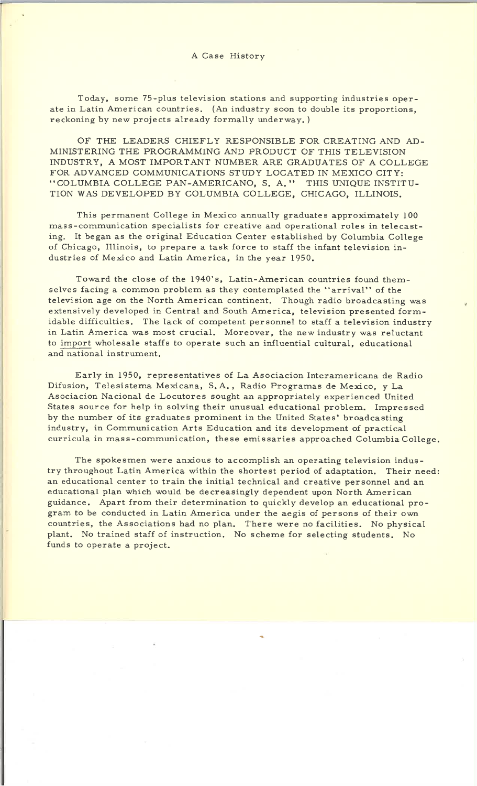#### A Case History

Today, some 75-plus television stations and supporting industries operate in Latin American countries. (An industry soon to double its proportions, reckoning by new projects already formally underway.)

OF THE LEADERS CHIEFLY RESPONSIBLE FOR CREATING AND AD-MINISTERING THE PROGRAMMING AND PRODUCT OF THIS TELEVISION INDUSTRY, A MOST IMPORTANT NUMBER ARE GRADUATES OF A COLLEGE FOR ADVANCED COMMUNICATIONS STUDY LOCATED IN MEXICO CITY: "COLUMBIA COLLEGE PAN-AMERICANO, S. A." THIS UNIQUE INSTITU-TION WAS DEVELOPED BY COLUMBIA COLLEGE, CHICAGO, ILLINOIS.

This permanent College in Mexico annually graduates approximately 100 mass-communication specialists for creative and operational roles in telecasting. It began as the original Education Center established by Columbia College of Chicago, Illinois, to prepare a task force to staff the infant television industries of Mexico and Latin America, in the year 1950.

Toward the close of the 1940's, Latin-American countries found themselves facing <sup>a</sup>common problem as they contemplated the "arrival" of the television age on the North American continent. Though radio broadcasting was extensively developed in Central and South America, television presented formidable difficulties. The lack of competent personnel to staff a television industry in Latin America was most crucial. Moreover, the new industry was reluctant to import wholesale staffs to operate such an influential cultural, educational and national instrument.

Early in 1950, representatives of La Asociacion Interamericana de Radio Difusion, Telesistema Mexicana, S. A., Radio Programas de Mexico, y La Asociacion Nacional de Locutores sought an appropriately experienced United States source for help in solving their unusual educational problem. Impressed by the number of its graduates prominent in the United States' broadcasting industry, in Communication Arts Education and its development of practical curricula in mass-communication, these emissaries approached Columbia College.

The spokesmen were anxious to accomplish an operating television industry throughout Latin America within the shortest period of adaptation. Their need: an educational center to train the initial technical and creative personnel and an educational plan which would be decreasingly dependent upon North American guidance. Apart from their determination to quickly develop an educational program to be conducted in Latin America under the aegis of persons of their own countries, the Associations had no plan. There were no facilities. No physical <sup>p</sup>lant. No trained staff of instruction. No scheme for selecting students. No funds to operate a project.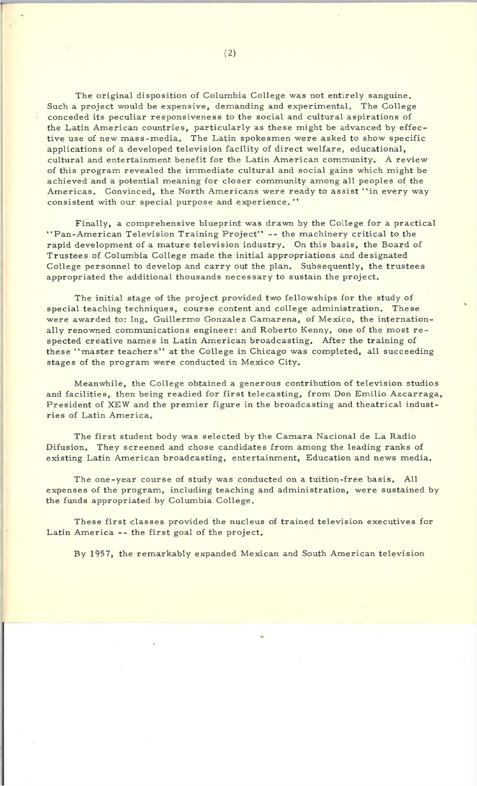The original disposition of Columbia College was not entirely sanguine. Such a project would be expensive, demanding and experimental. The College conceded its peculiar responsiveness to the social and cultural aspirations of the Latin American countries, particularly as these might be advanced by effective use of new mass-media. The Latin spokesmen were asked to show specific applications of a developed television facility of direct welfare, educational, cultural and entertainment benefit for the Latin American community. A review of this program revealed the immediate cultural and social gains which might be achieved and a potential meaning for closer community among all peoples of the Americas. Convinced, the North Americans were ready to assist "in every way consistent with our special purpose and experience."

Finally, a comprehensive blueprint was drawn by the College for a practical "Pan-American Television Training Project" -- the machinery critical to the rapid development of a mature television industry. On this basis, the Board of Trustees of Columbia College made the initial appropriations and designated College personnel to develop and carry out the plan. Subsequently, the trustees appropriated the additional thousands necessary to sustain the project.

The initial stage of the project provided two fellowships for the study of special teaching techniques, course content and college administration. These were awarded to: Ing. Guillermo Gonzalez Camarena, of Mexico, the internationally renowned communications engineer: and Roberto Kenny, one of the most respected creative names in Latin American broadcasting. After the training of these "master teachers" at the College in Chicago was completed, all succeeding stages of the program were conducted in Mexico City.

Meanwhile, the College obtained a generous contribution of television studios and facilities, then being readied for first telecasting, from Don Emilio Azcarraga, President of XEW and the premier figure in the broadcasting and theatrical industries of Latin America.

The first student body was selected by the Camara Nacional de La Radio Difusion. They screened and chose candidates from among the leading ranks of existing Latin American broadcasting, entertainment, Education and news media.

The one-year course of study was conducted on a tuition-free basis. All expenses of the program, including teaching and administration, were sustained by the funds appropriated by Columbia College.

These first classes provided the nucleus of trained television executives for Latin America -- the first goal of the project.

By 1957, the remarkably expanded Mexican and South American television